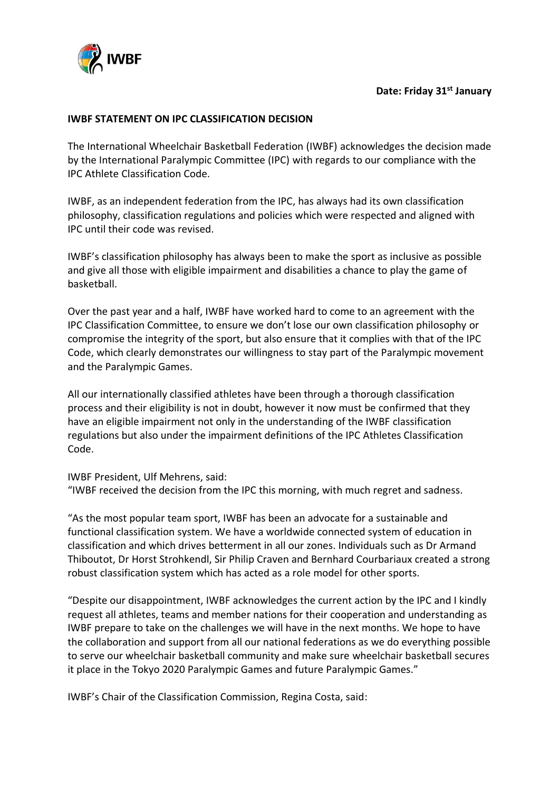

## **Date: Friday 31st January**

## **IWBF STATEMENT ON IPC CLASSIFICATION DECISION**

The International Wheelchair Basketball Federation (IWBF) acknowledges the decision made by the International Paralympic Committee (IPC) with regards to our compliance with the IPC Athlete Classification Code.

IWBF, as an independent federation from the IPC, has always had its own classification philosophy, classification regulations and policies which were respected and aligned with IPC until their code was revised.

IWBF's classification philosophy has always been to make the sport as inclusive as possible and give all those with eligible impairment and disabilities a chance to play the game of basketball.

Over the past year and a half, IWBF have worked hard to come to an agreement with the IPC Classification Committee, to ensure we don't lose our own classification philosophy or compromise the integrity of the sport, but also ensure that it complies with that of the IPC Code, which clearly demonstrates our willingness to stay part of the Paralympic movement and the Paralympic Games.

All our internationally classified athletes have been through a thorough classification process and their eligibility is not in doubt, however it now must be confirmed that they have an eligible impairment not only in the understanding of the IWBF classification regulations but also under the impairment definitions of the IPC Athletes Classification Code.

IWBF President, Ulf Mehrens, said: "IWBF received the decision from the IPC this morning, with much regret and sadness.

"As the most popular team sport, IWBF has been an advocate for a sustainable and functional classification system. We have a worldwide connected system of education in classification and which drives betterment in all our zones. Individuals such as Dr Armand Thiboutot, Dr Horst Strohkendl, Sir Philip Craven and Bernhard Courbariaux created a strong robust classification system which has acted as a role model for other sports.

"Despite our disappointment, IWBF acknowledges the current action by the IPC and I kindly request all athletes, teams and member nations for their cooperation and understanding as IWBF prepare to take on the challenges we will have in the next months. We hope to have the collaboration and support from all our national federations as we do everything possible to serve our wheelchair basketball community and make sure wheelchair basketball secures it place in the Tokyo 2020 Paralympic Games and future Paralympic Games."

IWBF's Chair of the Classification Commission, Regina Costa, said: